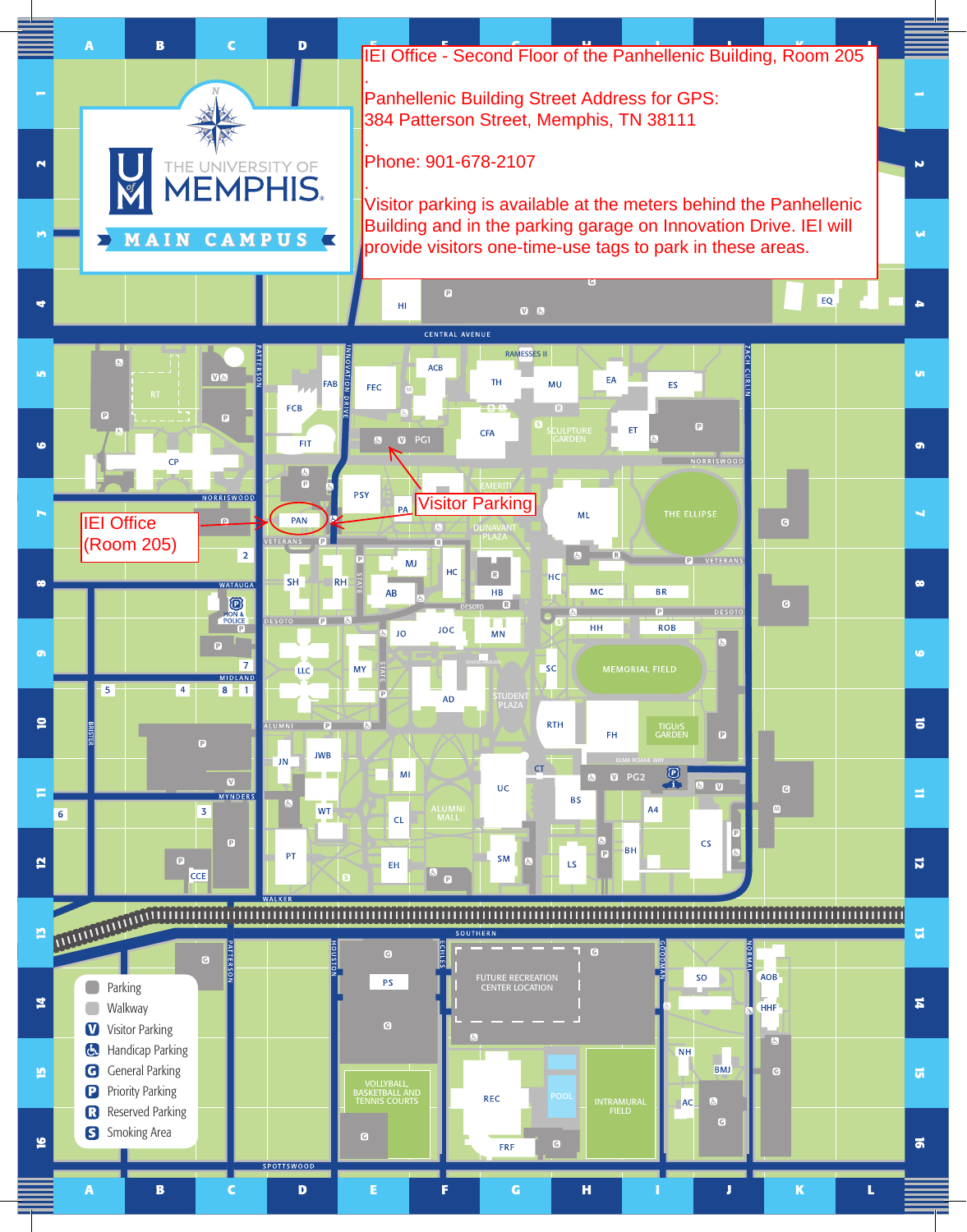